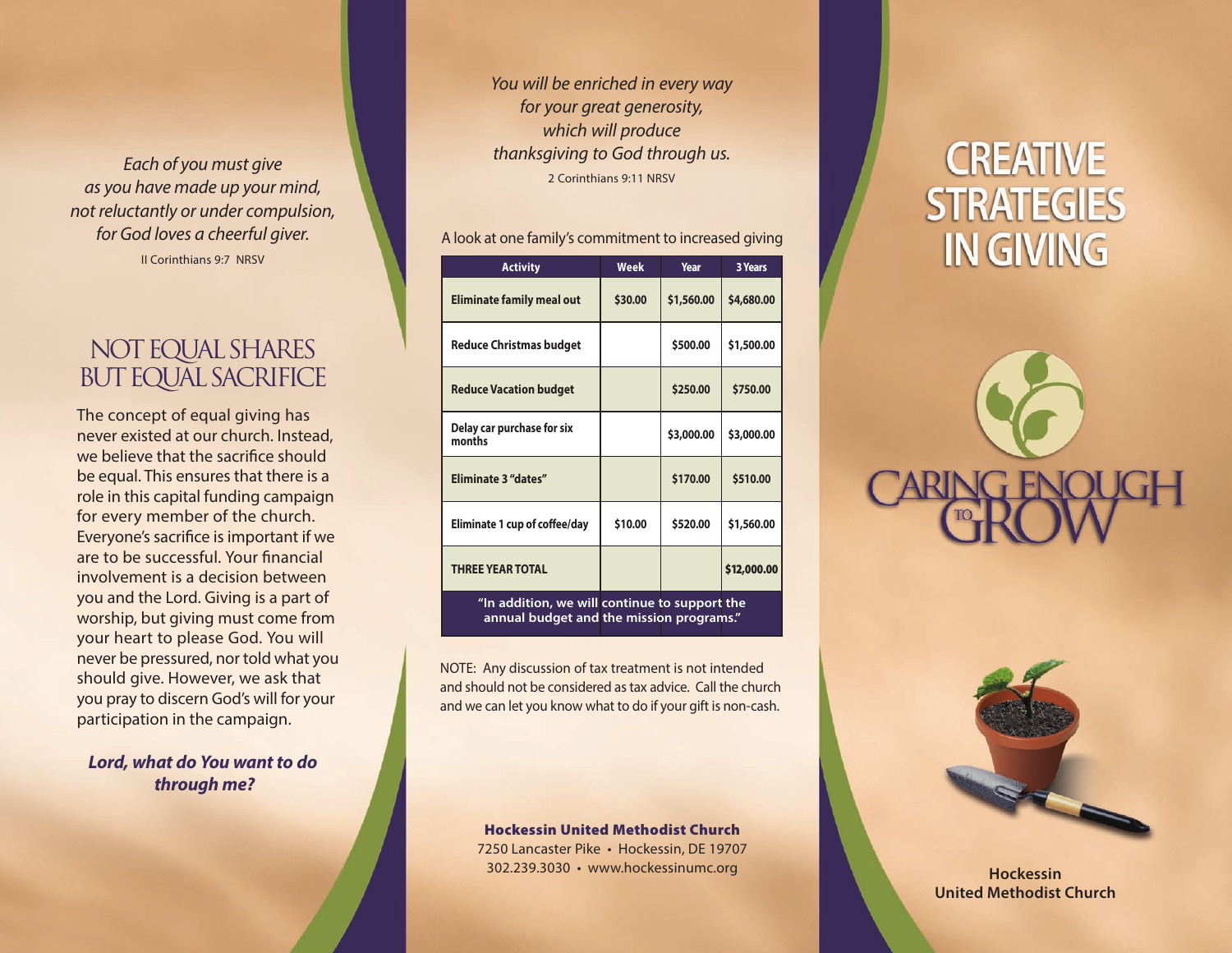*Each of you must give as you have made up your mind, not reluctantly or under compulsion, for God loves a cheerful giver.* II Corinthians 9:7 NRSV

## NOT EQUAL SHARES BUT EQUAL SACRIFICE

The concept of equal giving has never existed at our church. Instead, we believe that the sacrifice should be equal. This ensures that there is a role in this capital funding campaign for every member of the church. Everyone's sacrifice is important if we are to be successful. Your financial involvement is a decision between you and the Lord. Giving is a part of worship, but giving must come from your heart to please God. You will never be pressured, nor told what you should give. However, we ask that you pray to discern God's will for your participation in the campaign.

### *Lord, what do You want to do through me?*

*You will be enriched in every way for your great generosity, which will produce thanksgiving to God through us.* 2 Corinthians 9:11 NRSV

#### A look at one family's commitment to increased giving

| <b>Activity</b>                                                                           | Week    | Year       | <b>3 Years</b> |  |
|-------------------------------------------------------------------------------------------|---------|------------|----------------|--|
| <b>Eliminate family meal out</b>                                                          | \$30.00 | \$1,560.00 | \$4,680.00     |  |
| <b>Reduce Christmas budget</b>                                                            |         | \$500.00   | \$1,500.00     |  |
| <b>Reduce Vacation budget</b>                                                             |         | \$250.00   | \$750.00       |  |
| Delay car purchase for six<br>months                                                      |         | \$3,000.00 | \$3,000.00     |  |
| <b>Eliminate 3 "dates"</b>                                                                |         | \$170.00   | \$510.00       |  |
| Eliminate 1 cup of coffee/day                                                             | \$10.00 | \$520.00   | \$1,560.00     |  |
| <b>THREE YEAR TOTAL</b>                                                                   |         |            | \$12,000.00    |  |
| "In addition, we will continue to support the<br>annual budget and the mission programs." |         |            |                |  |

NOTE: Any discussion of tax treatment is not intended and should not be considered as tax advice. Call the church and we can let you know what to do if your gift is non-cash.

> Hockessin United Methodist Church 7250 Lancaster Pike • Hockessin, DE 19707 302.239.3030 • www.hockessinumc.org

# **CREATIVE STRATEGIES IN GIVING**





**Hockessin United Methodist Church**